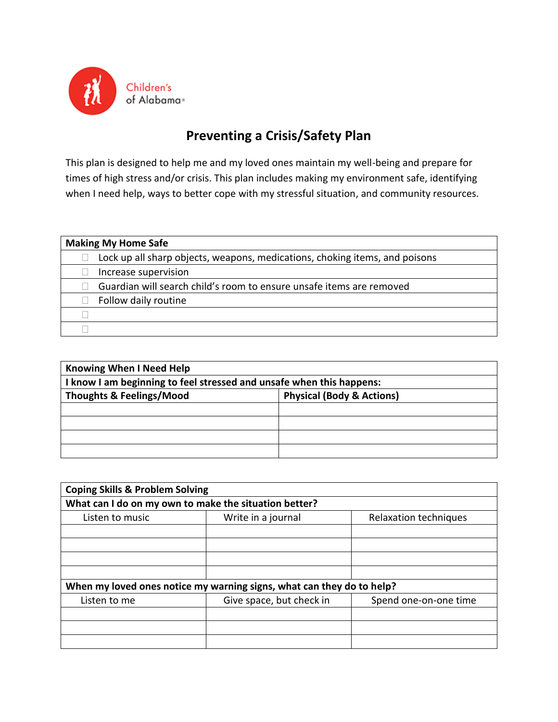

## **Preventing a Crisis/Safety Plan**

This plan is designed to help me and my loved ones maintain my well-being and prepare for times of high stress and/or crisis. This plan includes making my environment safe, identifying when I need help, ways to better cope with my stressful situation, and community resources.

| <b>Making My Home Safe</b> |                                                                             |
|----------------------------|-----------------------------------------------------------------------------|
|                            | Lock up all sharp objects, weapons, medications, choking items, and poisons |
| Increase supervision       |                                                                             |
|                            | Guardian will search child's room to ensure unsafe items are removed        |
| Follow daily routine       |                                                                             |
|                            |                                                                             |
|                            |                                                                             |

| <b>Knowing When I Need Help</b>                                             |  |  |
|-----------------------------------------------------------------------------|--|--|
| I know I am beginning to feel stressed and unsafe when this happens:        |  |  |
| <b>Physical (Body &amp; Actions)</b><br><b>Thoughts &amp; Feelings/Mood</b> |  |  |
|                                                                             |  |  |
|                                                                             |  |  |
|                                                                             |  |  |
|                                                                             |  |  |

| <b>Coping Skills &amp; Problem Solving</b>                            |                          |                       |
|-----------------------------------------------------------------------|--------------------------|-----------------------|
| What can I do on my own to make the situation better?                 |                          |                       |
| Listen to music                                                       | Write in a journal       | Relaxation techniques |
|                                                                       |                          |                       |
|                                                                       |                          |                       |
|                                                                       |                          |                       |
|                                                                       |                          |                       |
| When my loved ones notice my warning signs, what can they do to help? |                          |                       |
| Listen to me                                                          | Give space, but check in | Spend one-on-one time |
|                                                                       |                          |                       |
|                                                                       |                          |                       |
|                                                                       |                          |                       |